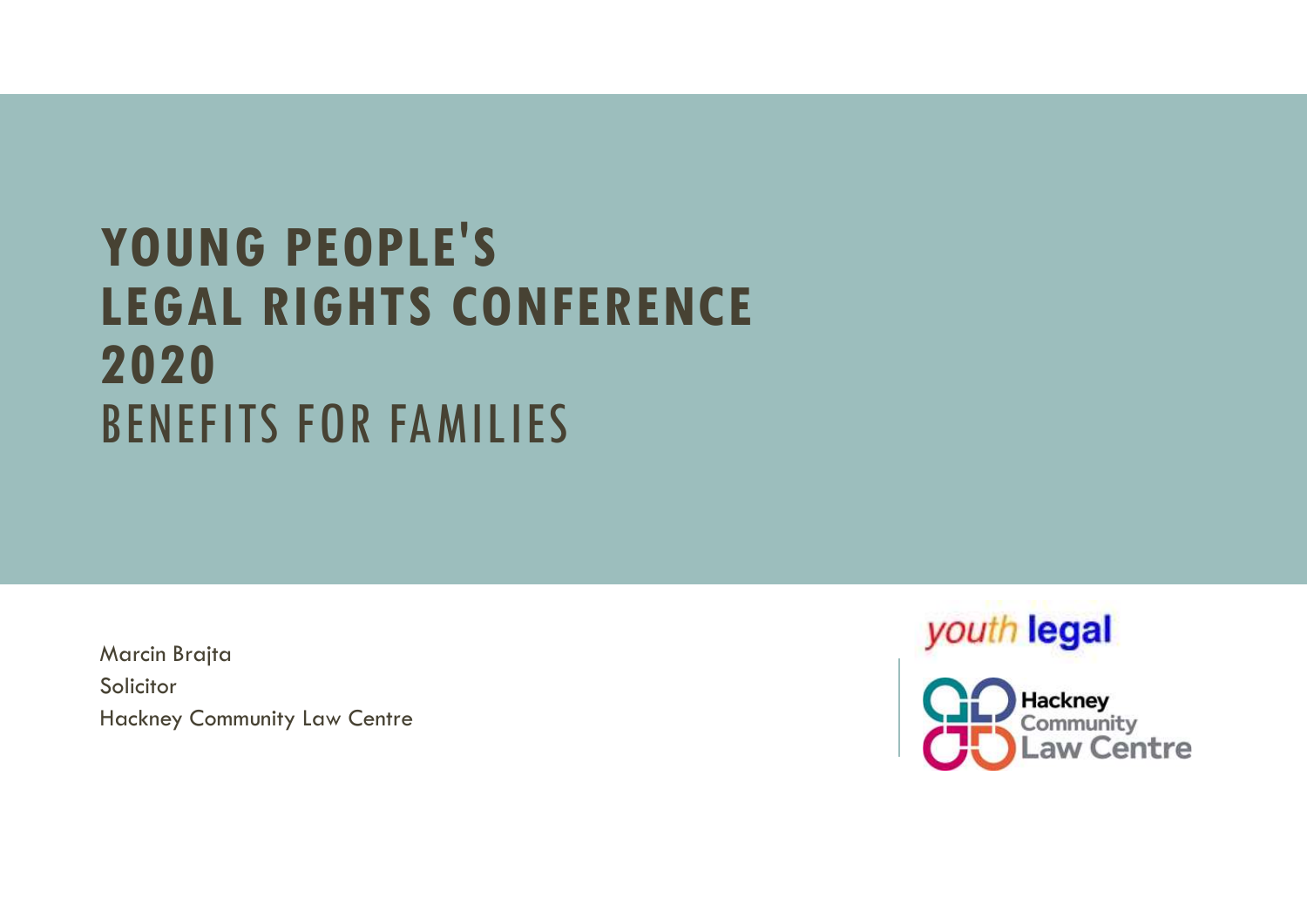# YOUNG PEOPLE'S **THE SERVING PEOPLE'S<br>LEGAL RIGHTS CONFERENCE<br>2020<br>BENEFITS FOR FAMILIES** 2020 BENEFITS FOR FAMILIES

Marcin Brajta Solicitor Hackney Community Law Centre



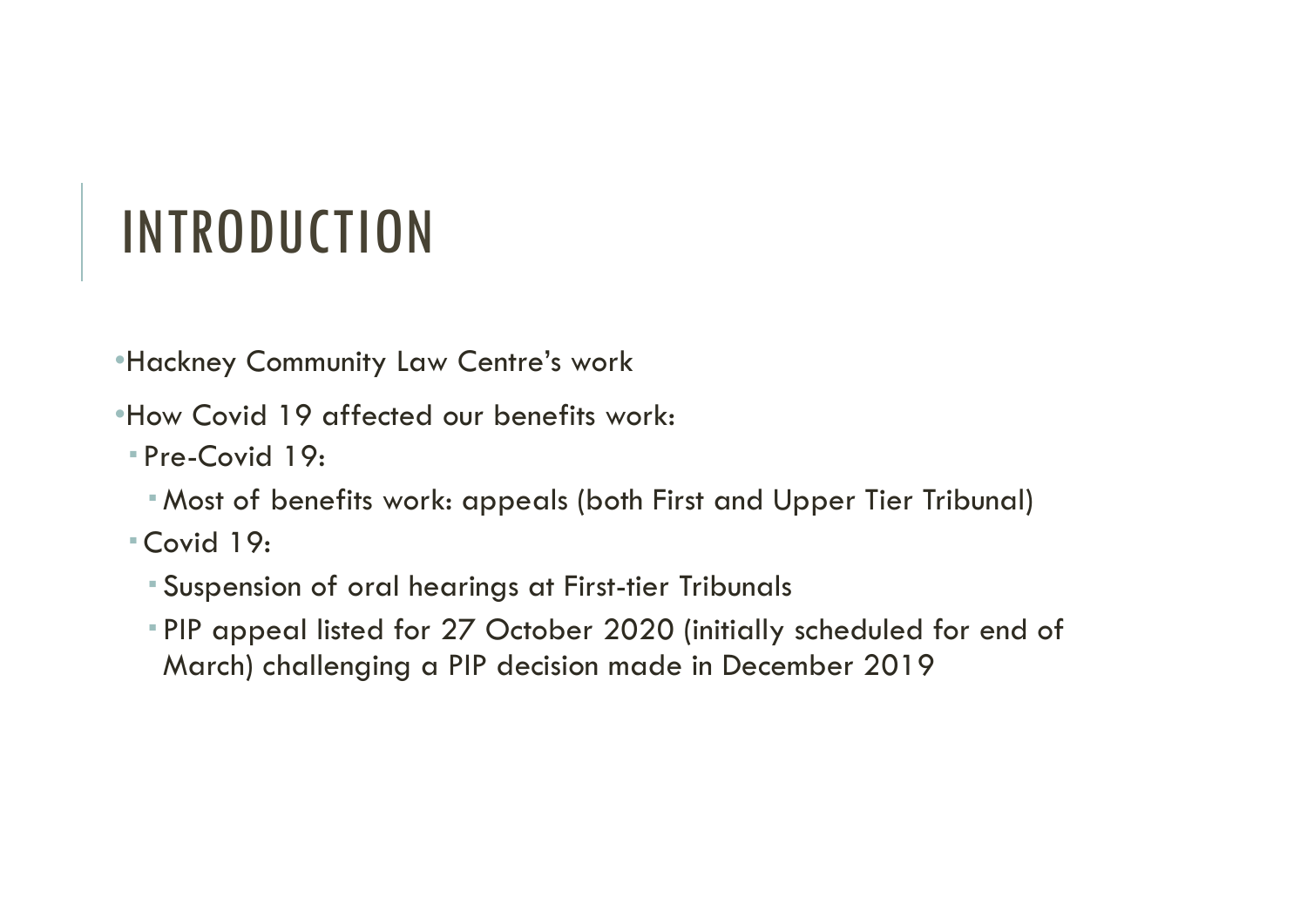## INTRODUCTION

•Hackney Community Law Centre's work

- -
- •Hackney Community Law Centre's work:<br>•How Covid 19 affected our benefits work:<br>•Pre-Covid 19:<br>•Most of benefits work: appeals (both First and Upper Tier Tribunal)<br>•Covid 19:<br>•PIP appeal listed for 27 October 2020 (initial PIP appeal listed for 27 October 2020 (initially scheduled for end of March) challenging a PIP decision made in December 2019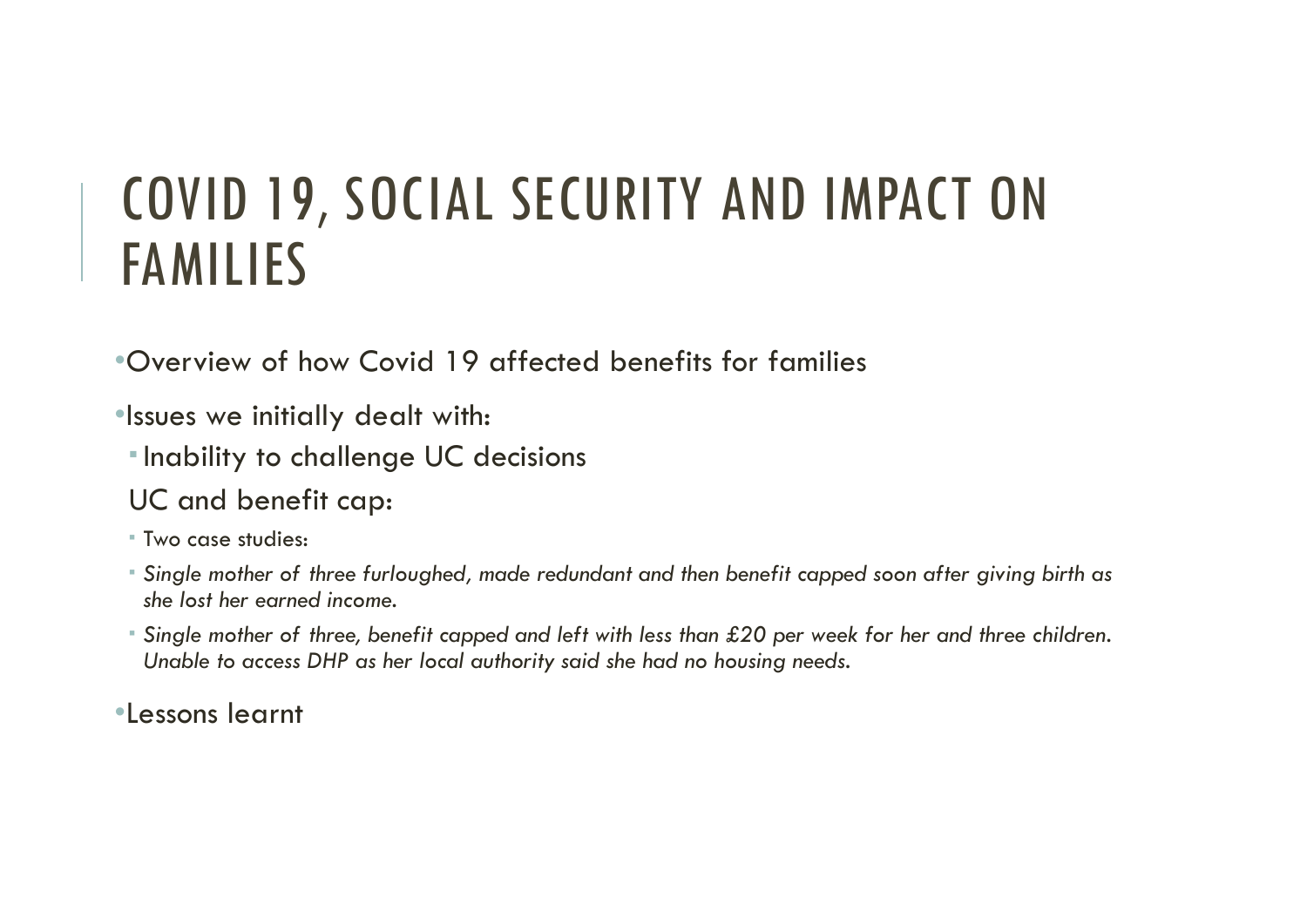# COVID 19, SOCIAL SECURITY AND IMPACT ON<br>FAMILIES FAMILIES COVID 19, SOCIAL SECURITY AND IMPACT ON<br>FAMILIES<br>•Overview of how Covid 19 affected benefits for families

- •Issues we initially dealt with:
- **Inability to challenge UC decisions**
- UC and benefit cap:
- Two case studies:
- Single mother of three furloughed, made redundant and then benefit capped soon after giving birth as she lost her earned income.
- Single mother of three, benefit capped and left with less than £20 per week for her and three children. Unable to access DHP as her local authority said she had no housing needs.

•Lessons learnt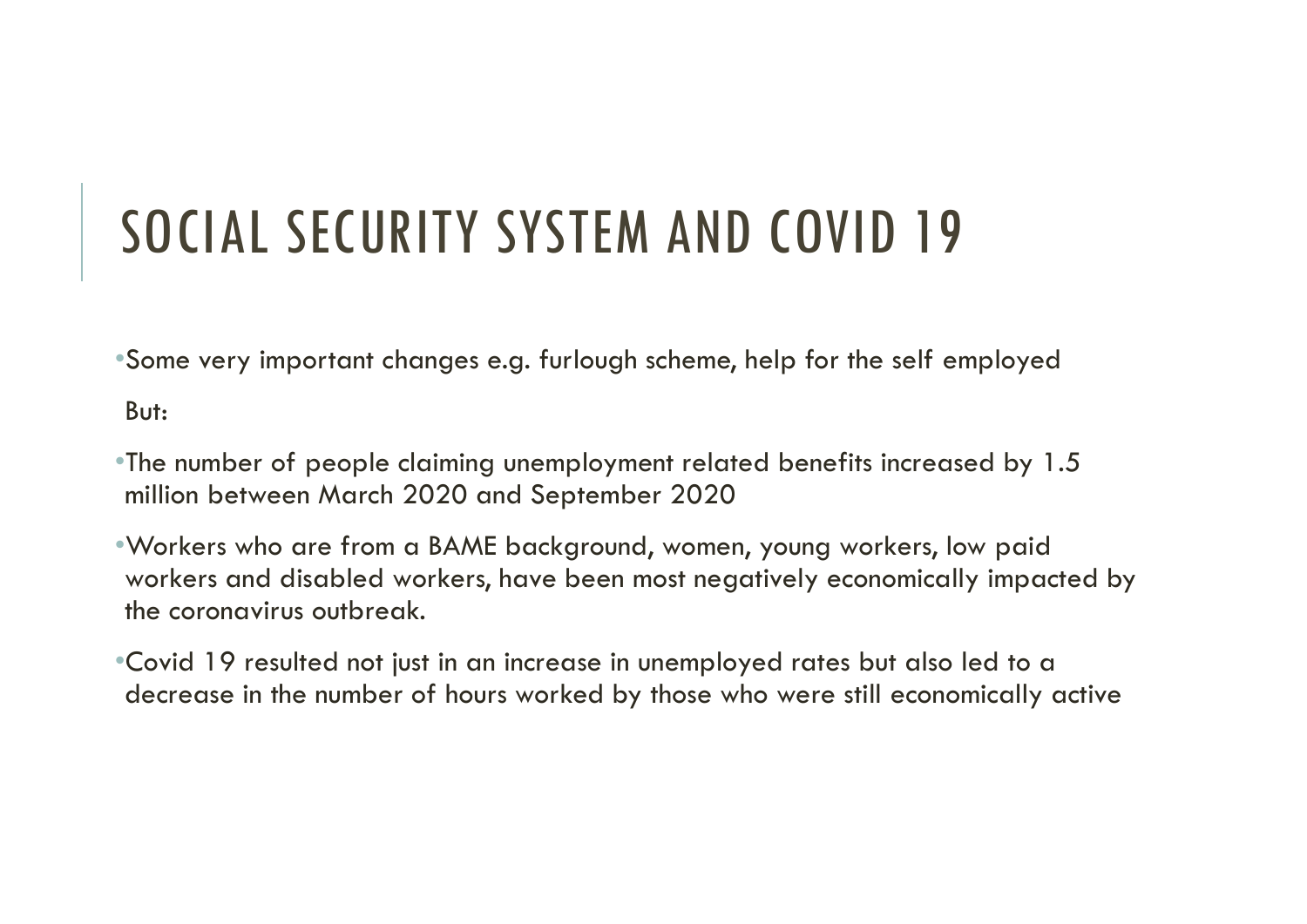# SOCIAL SECURITY SYSTEM AND COVID 19<br>Some very important changes e.g. furlough scheme, help for the self employed

•Some very important changes e.g. furlough scheme, help for the self employed

But:

- •The number of people claiming unemployment related benefits increased by 1.5 million between March 2020 and September 2020
- •Workers who are from a BAME background, women, young workers, low paid workers and disabled workers, have been most negatively economically impacted by the coronavirus outbreak. •Some very important changes e.g. furlough scheme, help for the self employed<br>
But:<br>
•The number of people claiming unemployment related benefits increased by 1.5<br>
million between March 2020 and September 2020<br>
•Workers wh
- decrease in the number of hours worked by those who were still economically active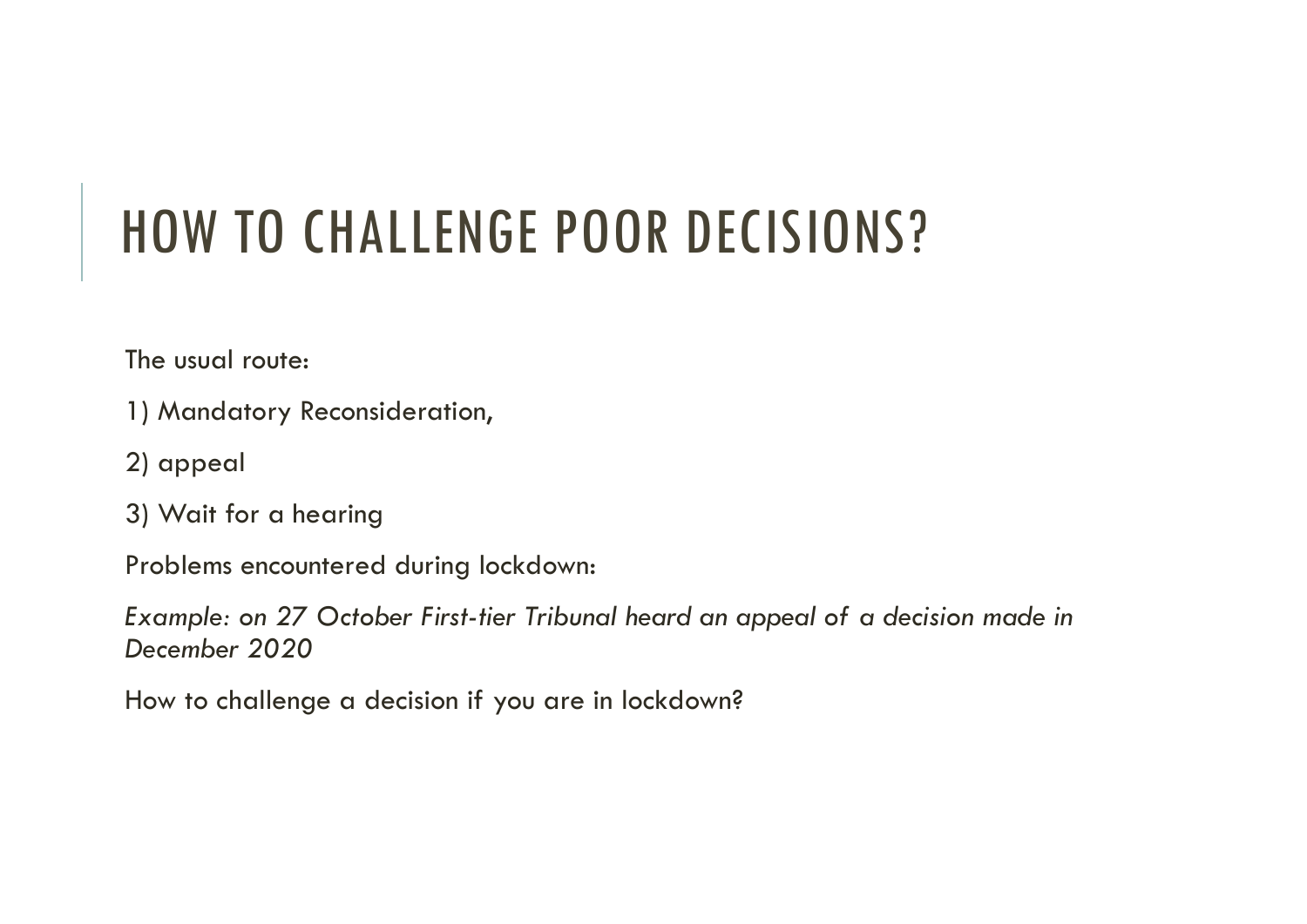# HOW TO CHALLENGE POOR DECISIONS?

The usual route:

- 1) Mandatory Reconsideration,
- 2) appeal
- 3) Wait for a hearing

Problems encountered during lockdown:

Example: on 27 October First-tier Tribunal heard an appeal of a decision made in December 2020

How to challenge a decision if you are in lockdown?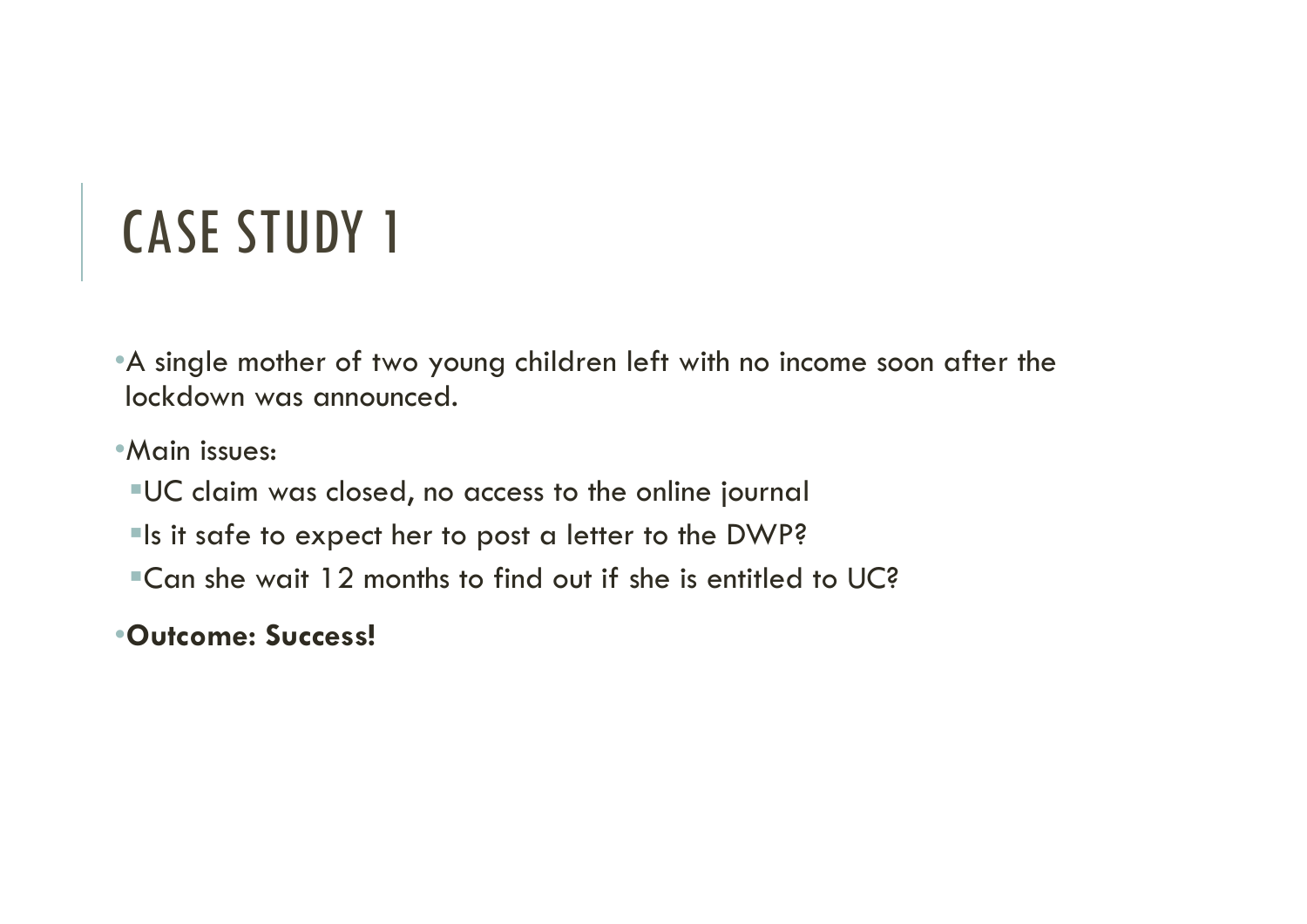•A single mother of two young children left with no income soon after the lockdown was announced.

•Main issues:

- UC claim was closed, no access to the online journal
- **Is it safe to expect her to post a letter to the DWP?**
- Can she wait 12 months to find out if she is entitled to UC?

•Outcome: Success!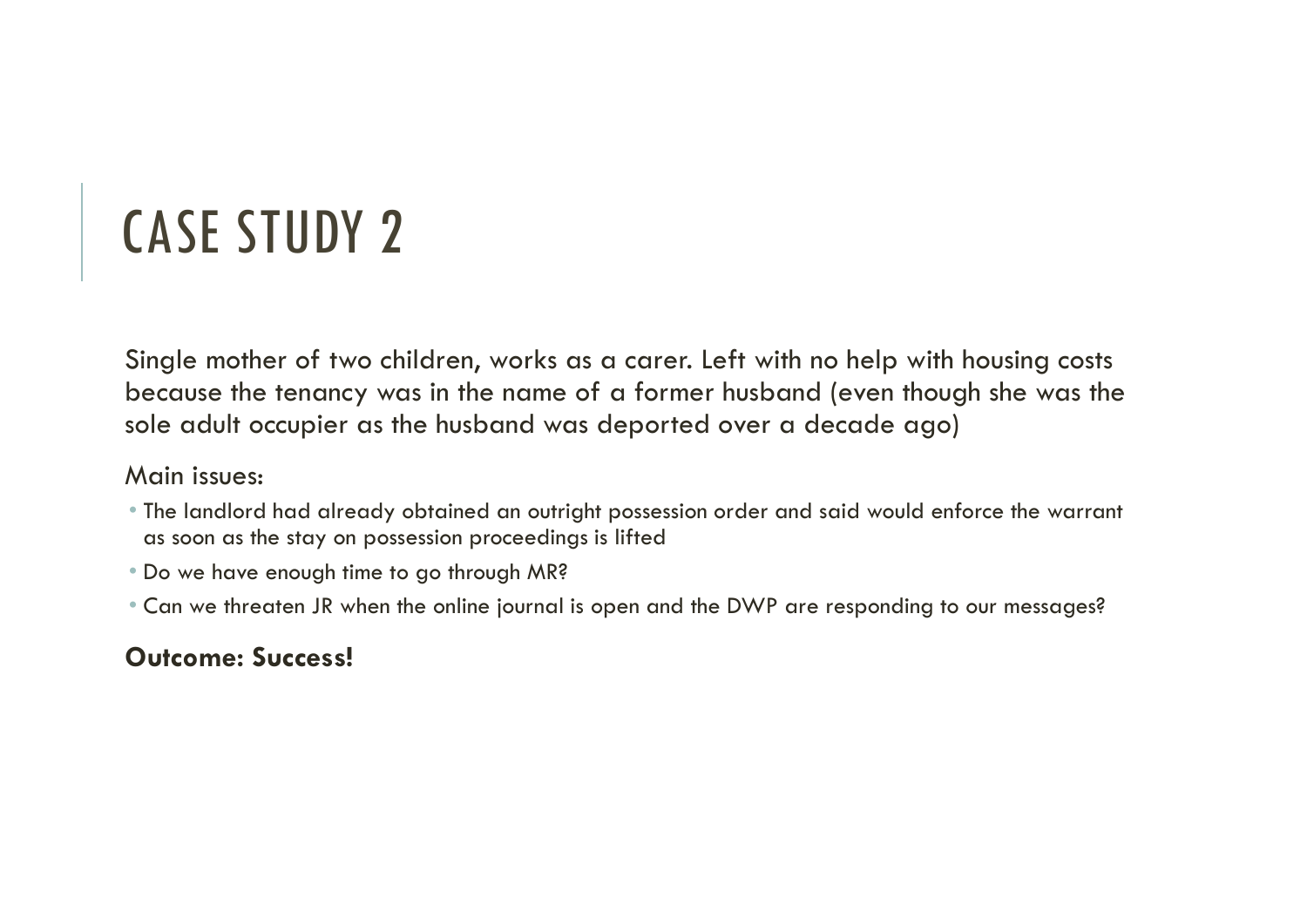Single mother of two children, works as a carer. Left with no help with housing costs because the tenancy was in the name of a former husband (even though she was the sole adult occupier as the husband was deported over a decade ago)

### Main issues:

- The landlord had already obtained an outright possession order and said would enforce the warrant as soon as the stay on possession proceedings is lifted
- Do we have enough time to go through MR?
- Can we threaten JR when the online journal is open and the DWP are responding to our messages?

## Outcome: Success!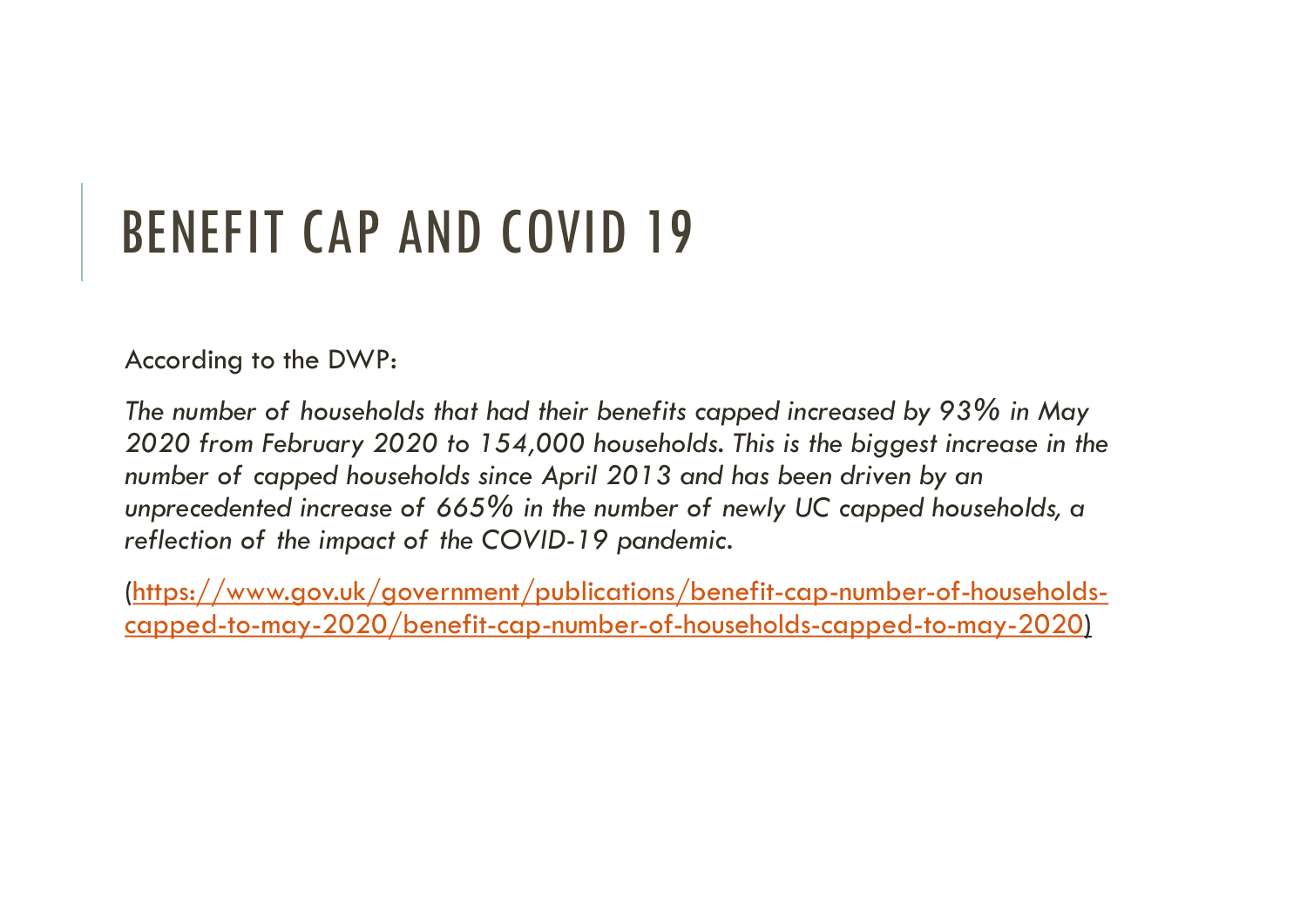# BENEFIT CAP AND COVID 19

According to the DWP:

The number of households that had their benefits capped increased by 93% in May 2020 from February 2020 to 154,000 households. This is the biggest increase in the number of capped households since April 2013 and has been driven by an **BENEFIT CAP AND COVID 19**<br>According to the DWP:<br>The number of households that had their benefits capped increased by 93% in May<br>2020 from February 2020 to 154,000 households. This is the biggest increase in the<br>number of reflection of the impact of the COVID-19 pandemic.

(https://www.gov.uk/government/publications/benefit-cap-number-of-householdscapped-to-may-2020/benefit-cap-number-of-households-capped-to-may-2020)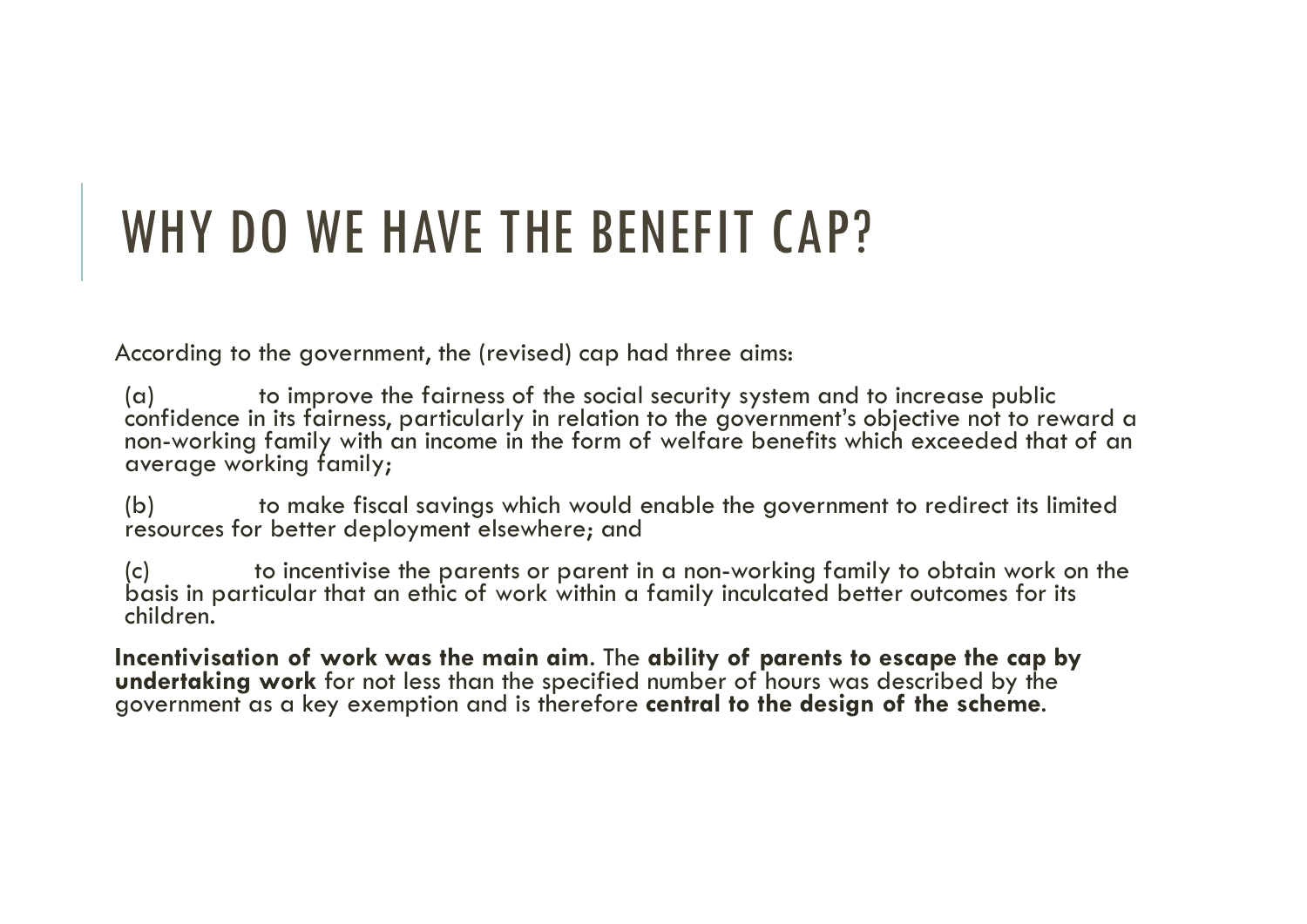## WHY DO WE HAVE THE BENEFIT CAP?

According to the government, the (revised) cap had three aims:

WHY DO WE HAVE THE BENEFIT CAP?<br>Excording to the government, the (revised) cap had three aims:<br>(a) to improve the fairness of the social security system and to increase public<br>confidence in its fairness, particularly in r WHY DO WE HAVE THE BENEFIT CAP?<br>
(a) to improve the fairness of the social security system and to increase public<br>
confidence in its fairness, particularly in relation to the government's objective not to reward<br>
non-worki WHY DO WE HAVE THE BENEFIT CAP?<br>
scording to the government, the (revised) cap had three cims:<br>
(a) to improve the fairness, particularly in relation to the government's objective not to reward a<br>
non-working family with

children.

Incentivisation of work was the main aim. The ability of parents to escape the cap by undertaking work for not less than the specified number of hours was described by the government as a key exemption and is therefore **ce**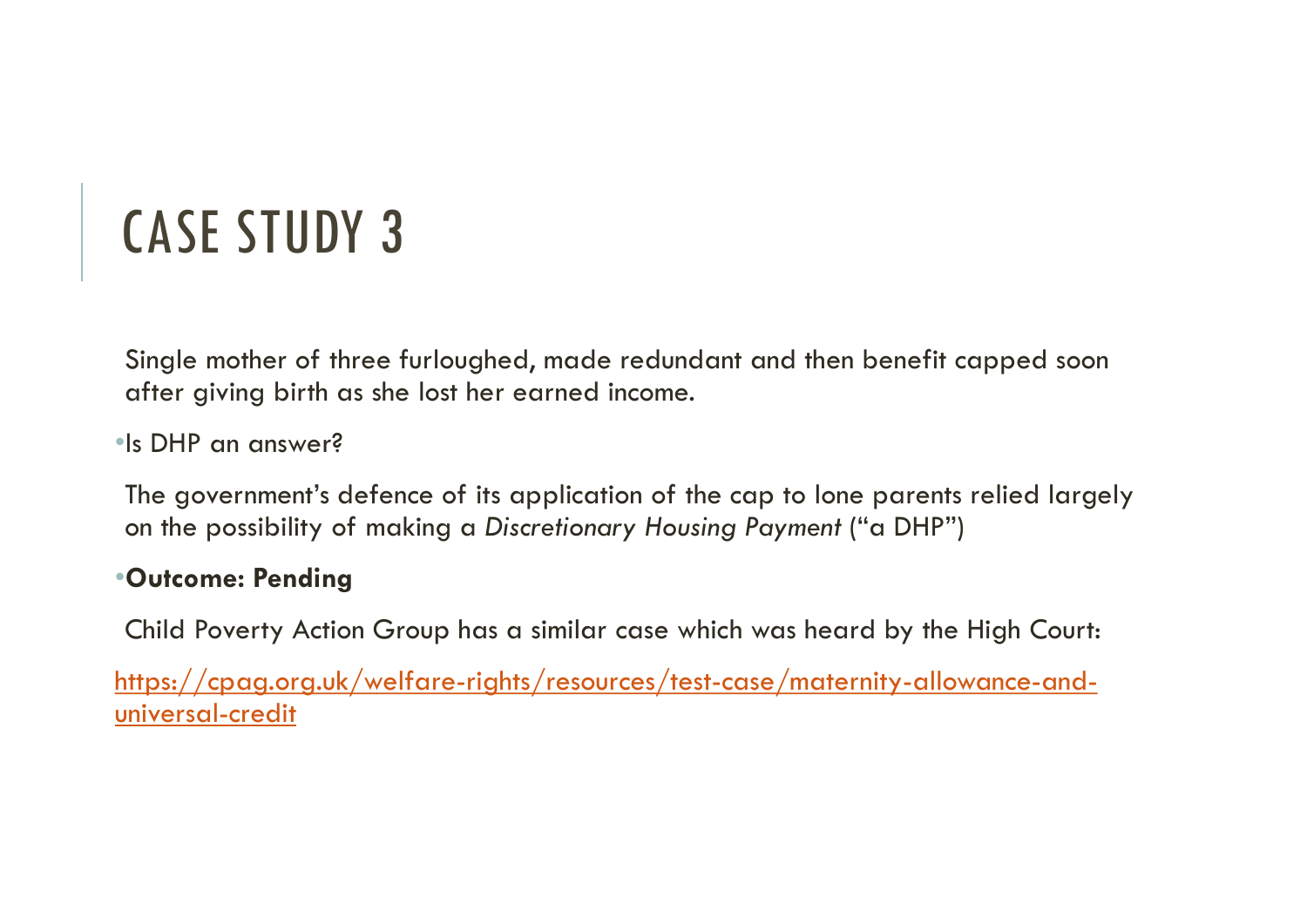Single mother of three furloughed, made redundant and then benefit capped soon after giving birth as she lost her earned income.

•Is DHP an answer?

The government's defence of its application of the cap to lone parents relied largely on the possibility of making a Discretionary Housing Payment ("a DHP")

## •Outcome: Pending

Child Poverty Action Group has a similar case which was heard by the High Court:

https://cpag.org.uk/welfare-rights/resources/test-case/maternity-allowance-anduniversal-credit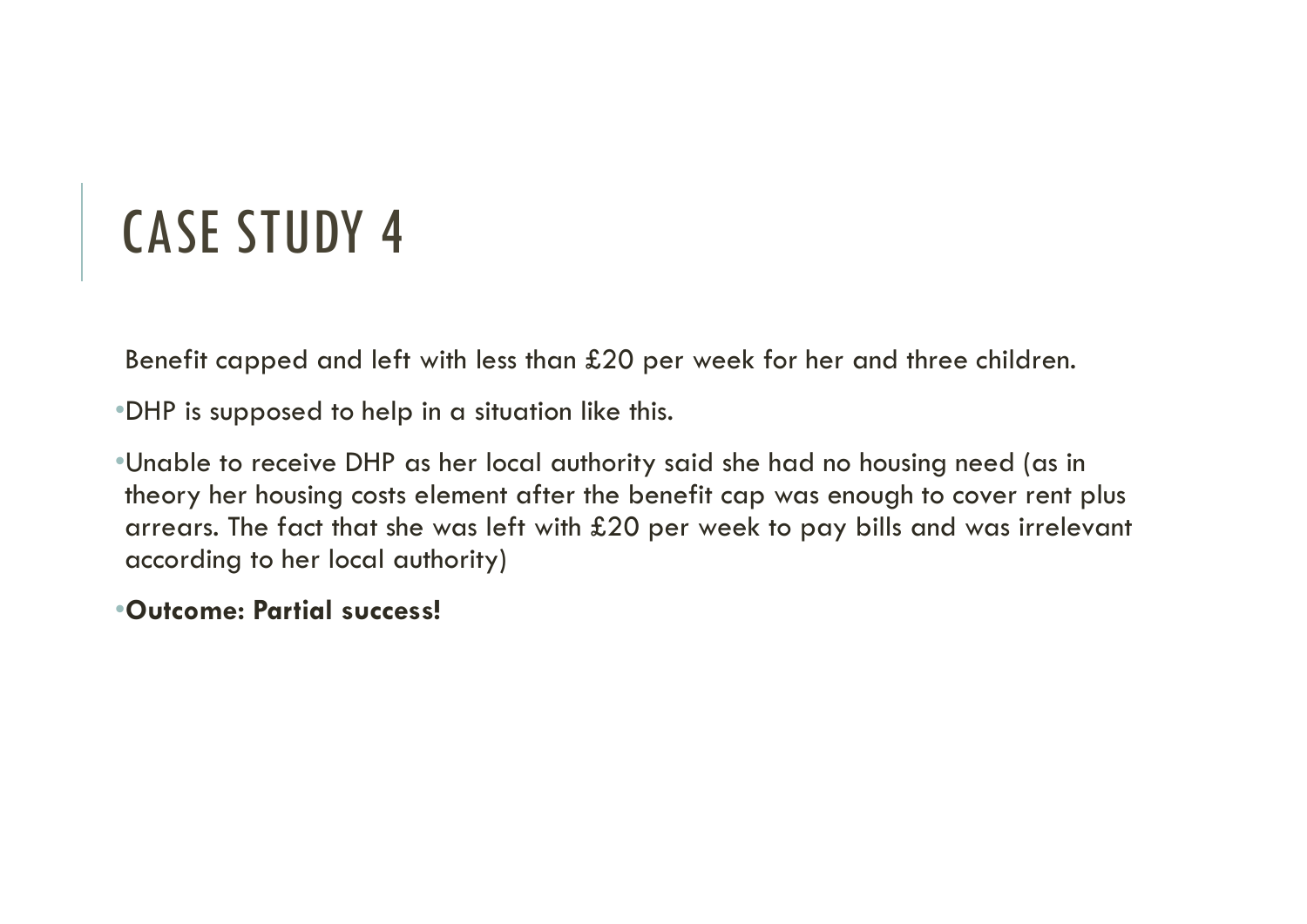Benefit capped and left with less than £20 per week for her and three children.

•DHP is supposed to help in a situation like this.

•Unable to receive DHP as her local authority said she had no housing need (as in theory her housing costs element after the benefit cap was enough to cover rent plus arrears. The fact that she was left with £20 per week to pay bills and was irrelevant according to her local authority)

### •Outcome: Partial success!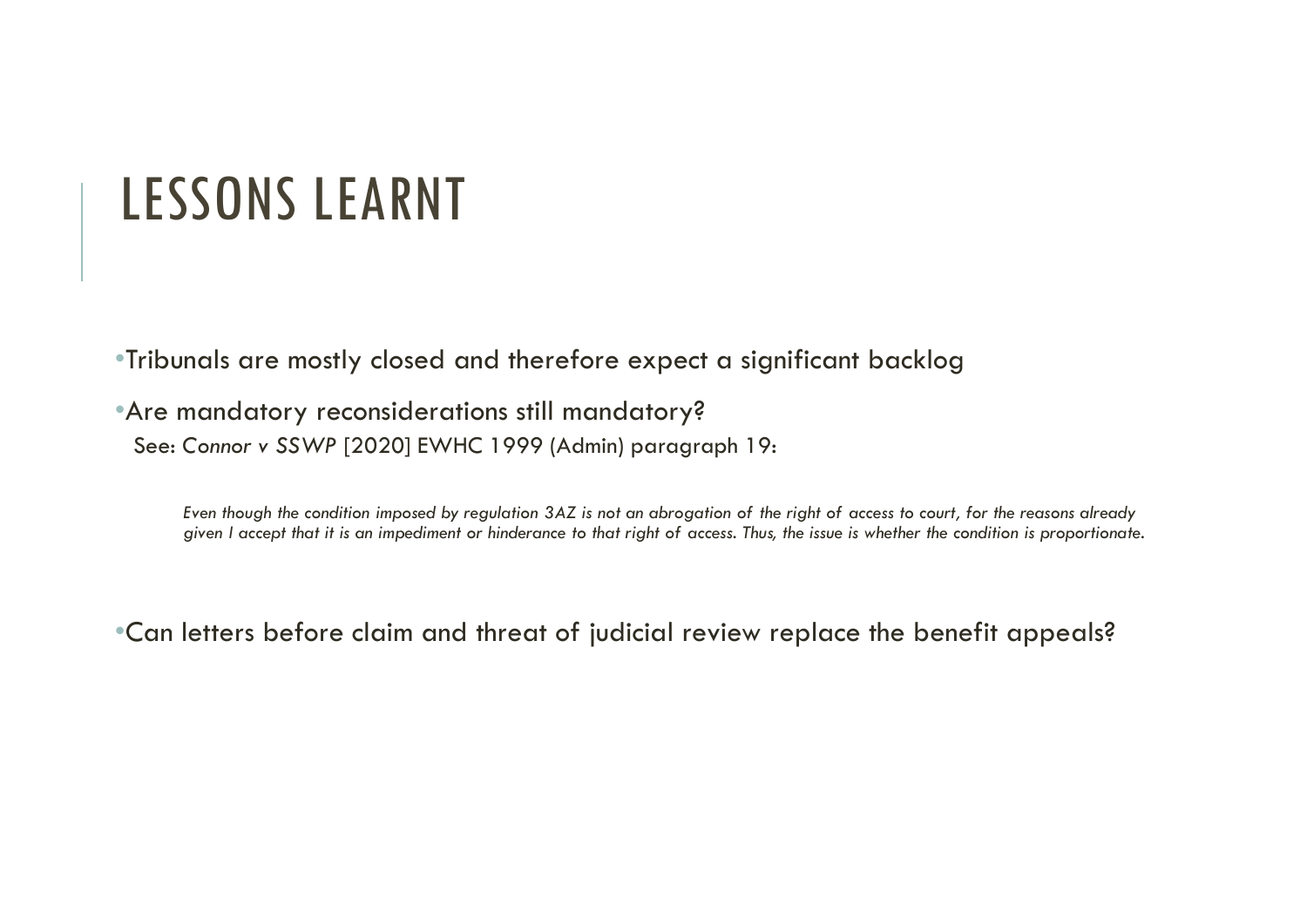## LESSONS LEARNT

•Tribunals are mostly closed and therefore expect a significant backlog

•Are mandatory reconsiderations still mandatory?

See: Connor v SSWP [2020] EWHC 1999 (Admin) paragraph 19:

Even though the condition imposed by regulation 3AZ is not an abrogation of the right of access to court, for the reasons already given I accept that it is an impediment or hinderance to that right of access. Thus, the issue is whether the condition is proportionate.

•Can letters before claim and threat of judicial review replace the benefit appeals?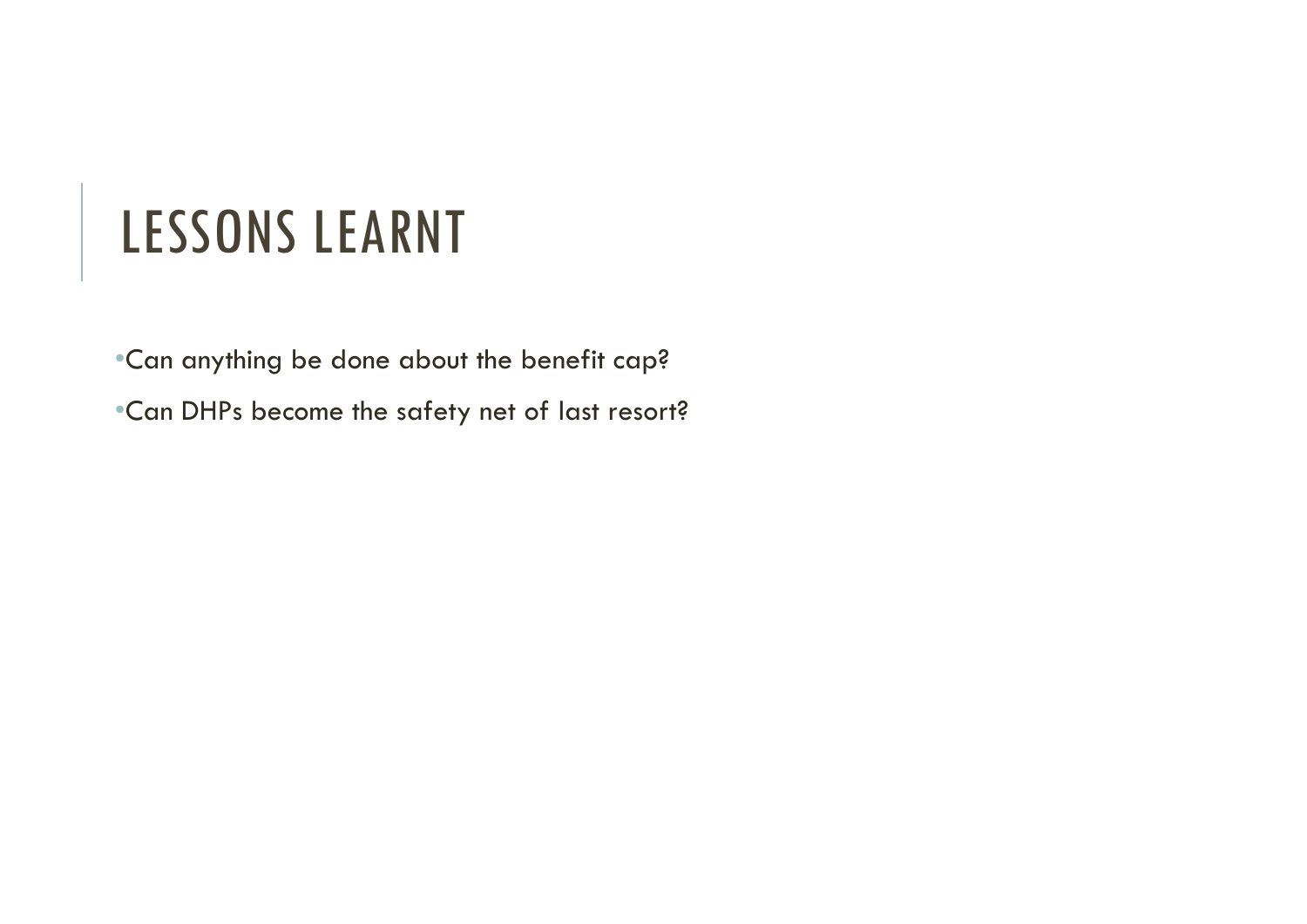## LESSONS LEARNT

•Can anything be done about the benefit cap?

•Can DHPs become the safety net of last resort?